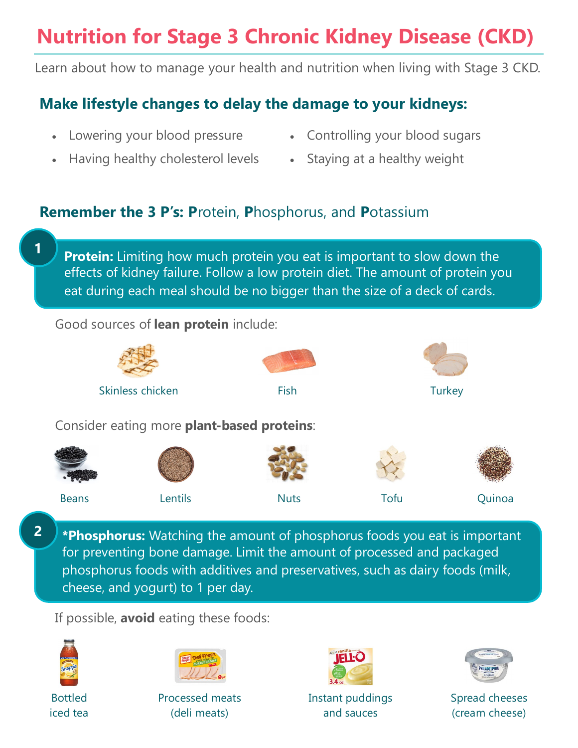# **Nutrition for Stage 3 Chronic Kidney Disease (CKD)**

Learn about how to manage your health and nutrition when living with Stage 3 CKD.

# **Make lifestyle changes to delay the damage to your kidneys:**

- Lowering your blood pressure
- Controlling your blood sugars
- Having healthy cholesterol levels
- Staying at a healthy weight

# **Remember the 3 P's: P**rotein, **P**hosphorus, and **P**otassium

**Protein:** Limiting how much protein you eat is important to slow down the effects of kidney failure. Follow a low protein diet. The amount of protein you eat during each meal should be no bigger than the size of a deck of cards.

### Good sources of **lean protein** include:



**2 \*Phosphorus:** Watching the amount of phosphorus foods you eat is important for preventing bone damage. Limit the amount of processed and packaged phosphorus foods with additives and preservatives, such as dairy foods (milk, cheese, and yogurt) to 1 per day.

If possible, **avoid** eating these foods:



**1**

Bottled iced tea



Processed meats (deli meats)



Instant puddings and sauces



Spread cheeses (cream cheese)